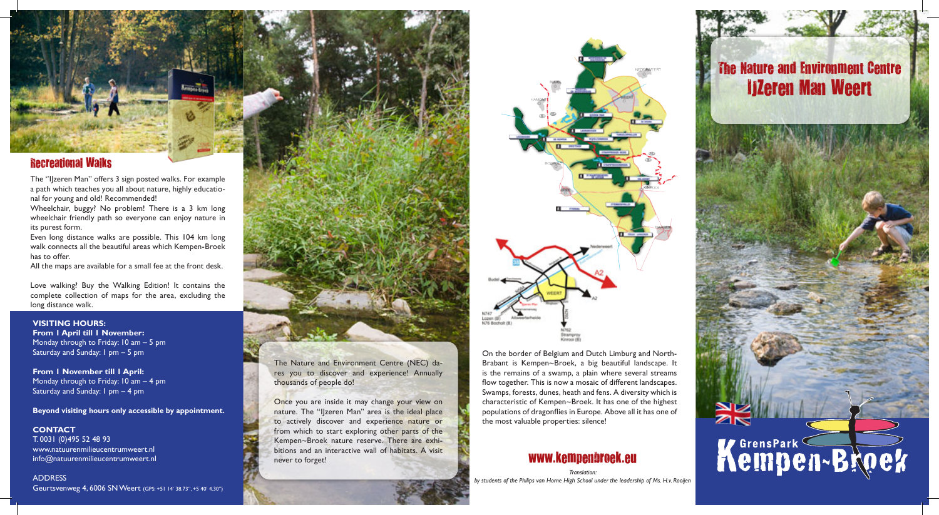### Recreational Walks

The ''IJzeren Man'' offers 3 sign posted walks. For example a path which teaches you all about nature, highly educational for young and old! Recommended!

Wheelchair, buggy? No problem! There is a 3 km long wheelchair friendly path so everyone can enjoy nature in its purest form.

Even long distance walks are possible. This 104 km long walk connects all the beautiful areas which Kempen-Broek has to offer.

All the maps are available for a small fee at the front desk.

Love walking? Buy the Walking Edition! It contains the complete collection of maps for the area, excluding the long distance walk.

#### **Visiting hours:**

**From 1 April till 1 November:** Monday through to Friday: 10 am – 5 pm Saturday and Sunday: 1 pm – 5 pm

**From 1 November till 1 April:** Monday through to Friday: 10 am – 4 pm Saturday and Sunday: 1 pm – 4 pm

**Beyond visiting hours only accessible by appointment.** 

### **CONTACT** T. 0031 (0)495 52 48 93 www.natuurenmilieucentrumweert.nl info@natuurenmilieucentrumweert.nl

ADDRESS Geurtsvenweg 4, 6006 SN Weert (GPS: +51 14' 38.73", +5 40' 4.30")





## www.kempenbroek.eu

## The Nature and Environment Centre IJZeren Man Weert



The Nature and Environment Centre (NEC) dares you to discover and experience! Annually thousands of people do!

Once you are inside it may change your view on nature. The "IJzeren Man" area is the ideal place to actively discover and experience nature or from which to start exploring other parts of the Kempen~Broek nature reserve. There are exhibitions and an interactive wall of habitats. A visit never to forget!